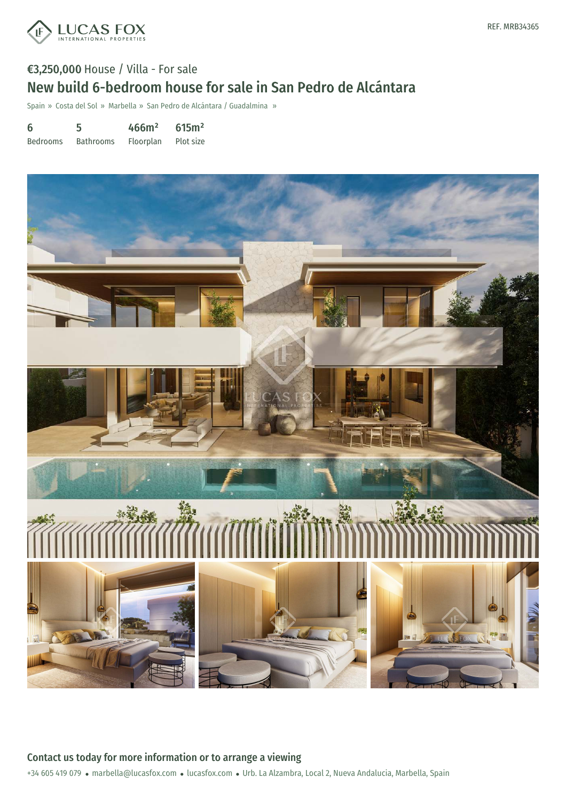

# €3,250,000 House / Villa - For sale New build 6-bedroom house for sale in San Pedro de Alcántara

Spain » Costa del Sol » Marbella » San Pedro de Alcántara / Guadalmina »

| 6               | 5                | 466m <sup>2</sup> | 615m <sup>2</sup> |
|-----------------|------------------|-------------------|-------------------|
| <b>Bedrooms</b> | <b>Bathrooms</b> | Floorplan         | Plot size         |



+34 605 419 079 · marbella@lucasfox.com · lucasfox.com · Urb. La Alzambra, Local 2, Nueva Andalucia, Marbella, Spain Contact us today for more information or to arrange a viewing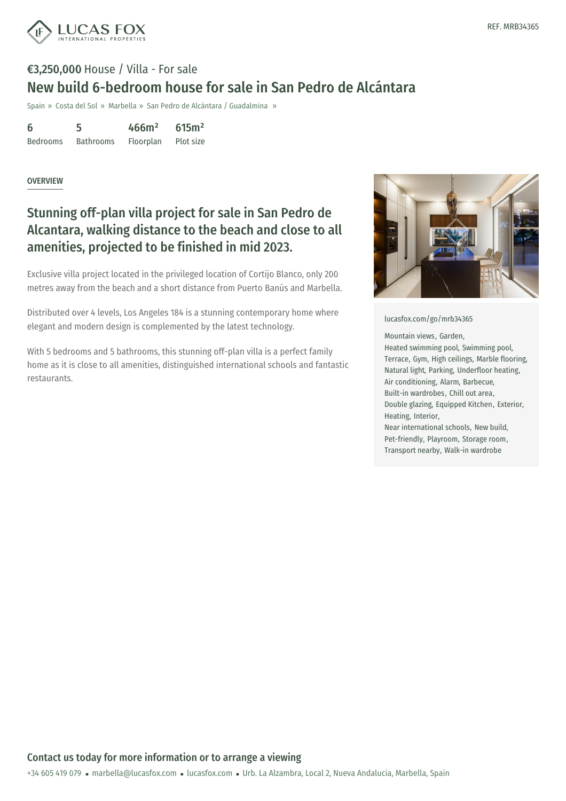

# €3,250,000 House / Villa - For sale New build 6-bedroom house for sale in San Pedro de Alcántara

Spain » Costa del Sol » Marbella » San Pedro de Alcántara / Guadalmina »

6 Bedrooms 5 Bathrooms 466m² Floorplan 615m² Plot size

#### **OVERVIEW**

## Stunning off-plan villa project for sale in San Pedro de Alcantara, walking distance to the beach and close to all amenities, projected to be finished in mid 2023.

Exclusive villa project located in the privileged location of Cortijo Blanco, only 200 metres away from the beach and a short distance from Puerto Banús and Marbella.

Distributed over 4 levels, Los Angeles 184 is a stunning contemporary home where elegant and modern design is complemented by the latest technology.

With 5 bedrooms and 5 bathrooms, this stunning off-plan villa is a perfect family home as it is close to all amenities, distinguished international schools and fantastic restaurants.



[lucasfox.com/go/mrb34365](https://www.lucasfox.com/go/mrb34365)

Mountain views, Garden,

Heated swimming pool, Swimming pool, Terrace, Gym, High ceilings, Marble flooring, Natural light, Parking, Underfloor heating, Air conditioning, Alarm, Barbecue, Built-in wardrobes, Chill out area, Double glazing, Equipped Kitchen, Exterior, Heating, Interior,

Near international schools, New build, Pet-friendly, Playroom, Storage room, Transport nearby, Walk-in wardrobe